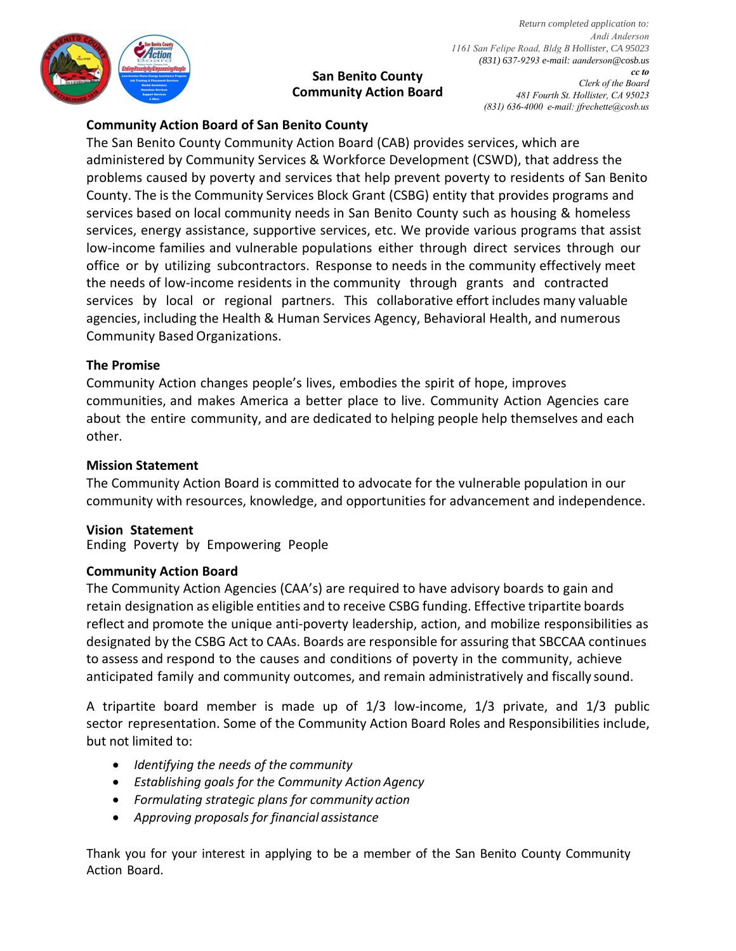

**San Benito County Community Action Board**

*Return completed application to: Andi Anderson 1161 San Felipe Road, Bldg B Hollister, CA 95023 (831) 637-9293 e-mail: aanderson@cosb.us cc to Clerk of the Board 481 Fourth St. Hollister, CA 95023 (831) 636-4000 e-mail: jfrechette@cosb.us* 

# **Community Action Board of San Benito County**

The San Benito County Community Action Board (CAB) provides services, which are administered by Community Services & Workforce Development (CSWD), that address the problems caused by poverty and services that help prevent poverty to residents of San Benito County. The is the Community Services Block Grant (CSBG) entity that provides programs and services based on local community needs in San Benito County such as housing & homeless services, energy assistance, supportive services, etc. We provide various programs that assist low-income families and vulnerable populations either through direct services through our office or by utilizing subcontractors. Response to needs in the community effectively meet the needs of low-income residents in the community through grants and contracted services by local or regional partners. This collaborative effort includes many valuable agencies, including the Health & Human Services Agency, Behavioral Health, and numerous Community Based Organizations.

# **The Promise**

Community Action changes people's lives, embodies the spirit of hope, improves communities, and makes America a better place to live. Community Action Agencies care about the entire community, and are dedicated to helping people help themselves and each other.

# **Mission Statement**

The Community Action Board is committed to advocate for the vulnerable population in our community with resources, knowledge, and opportunities for advancement and independence.

### **Vision Statement**

Ending Poverty by Empowering People

### **Community Action Board**

The Community Action Agencies (CAA's) are required to have advisory boards to gain and retain designation as eligible entities and to receive CSBG funding. Effective tripartite boards reflect and promote the unique anti-poverty leadership, action, and mobilize responsibilities as designated by the CSBG Act to CAAs. Boards are responsible for assuring that SBCCAA continues to assess and respond to the causes and conditions of poverty in the community, achieve anticipated family and community outcomes, and remain administratively and fiscally sound.

A tripartite board member is made up of 1/3 low-income, 1/3 private, and 1/3 public sector representation. Some of the Community Action Board Roles and Responsibilities include, but not limited to:

- *Identifying the needs of the community*
- *Establishing goals for the Community Action Agency*
- *Formulating strategic plans for community action*
- *Approving proposals for financial assistance*

Thank you for your interest in applying to be a member of the San Benito County Community Action Board.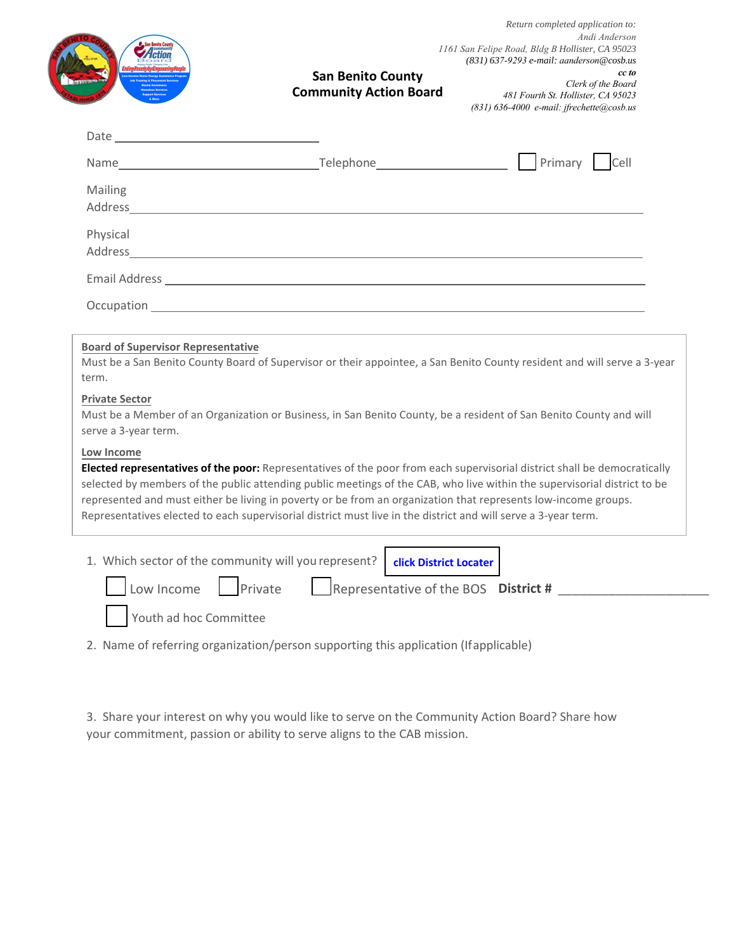|                                                                                                     | <b>San Benito County</b><br><b>Community Action Board</b>                                                                                                                                                                                                                                                                                                                                                                                                                                 | cc to<br>Clerk of the Board<br>481 Fourth St. Hollister, CA 95023<br>$(831)$ 636-4000 e-mail: jfrechette@cosb.us |
|-----------------------------------------------------------------------------------------------------|-------------------------------------------------------------------------------------------------------------------------------------------------------------------------------------------------------------------------------------------------------------------------------------------------------------------------------------------------------------------------------------------------------------------------------------------------------------------------------------------|------------------------------------------------------------------------------------------------------------------|
|                                                                                                     |                                                                                                                                                                                                                                                                                                                                                                                                                                                                                           |                                                                                                                  |
|                                                                                                     |                                                                                                                                                                                                                                                                                                                                                                                                                                                                                           |                                                                                                                  |
| Mailing                                                                                             | Address and the contract of the contract of the contract of the contract of the contract of the contract of the contract of the contract of the contract of the contract of the contract of the contract of the contract of th                                                                                                                                                                                                                                                            |                                                                                                                  |
| Physical                                                                                            |                                                                                                                                                                                                                                                                                                                                                                                                                                                                                           |                                                                                                                  |
|                                                                                                     |                                                                                                                                                                                                                                                                                                                                                                                                                                                                                           |                                                                                                                  |
|                                                                                                     | Occupation <b>Contract Contract Contract Contract Contract Contract Contract Contract Contract Contract Contract Contract Contract Contract Contract Contract Contract Contract Contract Contract Contract Contract Contract Con</b><br>Must be a San Benito County Board of Supervisor or their appointee, a San Benito County resident and will serve a 3-year                                                                                                                          |                                                                                                                  |
| <b>Board of Supervisor Representative</b><br>term.<br><b>Private Sector</b><br>serve a 3-year term. | Must be a Member of an Organization or Business, in San Benito County, be a resident of San Benito County and will                                                                                                                                                                                                                                                                                                                                                                        |                                                                                                                  |
| Low Income                                                                                          | Elected representatives of the poor: Representatives of the poor from each supervisorial district shall be democratically<br>selected by members of the public attending public meetings of the CAB, who live within the supervisorial district to be<br>represented and must either be living in poverty or be from an organization that represents low-income groups.<br>Representatives elected to each supervisorial district must live in the district and will serve a 3-year term. |                                                                                                                  |

2. Name of referring organization/person supporting this application (Ifapplicable)

3. Share your interest on why you would like to serve on the Community Action Board? Share how your commitment, passion or ability to serve aligns to the CAB mission.